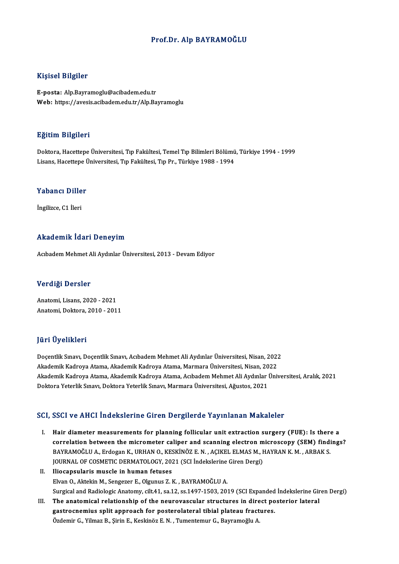## Prof.Dr. Alp BAYRAMOĞLU

### Kişisel Bilgiler

E-posta: Alp.Bayramoglu@acibadem.edu.tr Web: https://avesis.acibadem.edu.tr/Alp.Bayramoglu

### Eğitim Bilgileri

E<mark>ğitim Bilgileri</mark><br>Doktora, Hacettepe Üniversitesi, Tıp Fakültesi, Temel Tıp Bilimleri Bölümü, Türkiye 1994 - 1999<br>Lisans, Hacettene Üniversitesi, Tıp Fakültesi, Tıp Pr., Türkiye 1999 - 1994 Lisans, Largaroa<br>Doktora, Hacettepe Üniversitesi, Tıp Fakültesi, Temel Tıp Bilimleri Bölümü<br>Lisans, Hacettepe Üniversitesi, Tıp Fakültesi, Tıp Pr., Türkiye 1988 - 1994

## Lisans, naceuepe d<br>Yabancı Diller Y<mark>abancı Dille</mark><br>İngilizce, C1 İleri

# İngilizce, C1 İleri<br>Akademik İdari Deneyim

Acıbadem Mehmet Ali Aydınlar Üniversitesi, 2013 - Devam Ediyor

### Verdiği Dersler

Anatomi,Lisans,2020 -2021 Anatomi,Doktora,2010 -2011

## JüriÜyelikleri

**Jüri Üyelikleri**<br>Doçentlik Sınavı, Doçentlik Sınavı, Acıbadem Mehmet Ali Aydınlar Üniversitesi, Nisan, 2022<br>Akademik Kadnava Atama, Akademik Kadnava Atama Marmara Üniversitesi, Nisan, 2022 yarr 5 yerinterr<br>Doçentlik Sınavı, Doçentlik Sınavı, Acıbadem Mehmet Ali Aydınlar Üniversitesi, Nisan, 2022<br>Akademik Kadroya Atama, Akademik Kadroya Atama, Marmara Üniversitesi, Nisan, 2022 Doçentlik Sınavı, Doçentlik Sınavı, Acıbadem Mehmet Ali Aydınlar Üniversitesi, Nisan, 2022<br>Akademik Kadroya Atama, Akademik Kadroya Atama, Marmara Üniversitesi, Nisan, 2022<br>Akademik Kadroya Atama, Akademik Kadroya Atama, A Akademik Kadroya Atama, Akademik Kadroya Atama, Marmara Üniversitesi, Nisan, 20<br>Akademik Kadroya Atama, Akademik Kadroya Atama, Acıbadem Mehmet Ali Aydınlar |<br>Doktora Yeterlik Sınavı, Doktora Yeterlik Sınavı, Marmara Ünive Doktora Yeterlik Sınavı, Doktora Yeterlik Sınavı, Marmara Üniversitesi, Ağustos, 2021<br>SCI, SSCI ve AHCI İndekslerine Giren Dergilerde Yayınlanan Makaleler

- I. Hair diameter measurements for planning follicular unit extraction surgery (FUE): Is there a correlation between the micrometer caliper and scanning electron microscopy (SEM) findings? Hair diameter measurements for planning follicular unit extraction surgery (FUE): Is there<br>correlation between the micrometer caliper and scanning electron microscopy (SEM) findi<br>BAYRAMOĞLU A., Erdogan K., URHAN O., KESKİN correlation between the micrometer caliper and scanning electron m<br>BAYRAMOĞLU A., Erdogan K., URHAN O., KESKİNÖZ E. N. , AÇIKEL ELMAS M., I<br>JOURNAL OF COSMETIC DERMATOLOGY, 2021 (SCI İndekslerine Giren Dergi)<br>Iliacansulari JOURNAL OF COSMETIC DERMATOLOGY, 2021 (SCI İndekslerine Giren Dergi)
- II. Iliocapsularis muscle in human fetuses<br>Elvan O., Aktekin M., Sengezer E., Olgunus Z. K., BAYRAMOĞLU A. Iliocapsularis muscle in human fetuses<br>Elvan O., Aktekin M., Sengezer E., Olgunus Z. K. , BAYRAMOĞLU A.<br>Surgical and Radiologic Anatomy, cilt.41, sa.12, ss.1497-1503, 2019 (SCI Expanded İndekslerine Giren Dergi)<br>The anatom Elvan O., Aktekin M., Sengezer E., Olgunus Z. K. , BAYRAMOĞLU A.<br>Surgical and Radiologic Anatomy, cilt.41, sa.12, ss.1497-1503, 2019 (SCI Expanded Indekslerine Gir<br>III. The anatomical relationship of the neurovascular stru
- Surgical and Radiologic Anatomy, cilt.41, sa.12, ss.1497-1503, 2019 (SCI Expanded<br>The anatomical relationship of the neurovascular structures in direct po<br>gastrocnemius split approach for posterolateral tibial plateau frac The anatomical relationship of the neurovascular structures in dire<br>gastrocnemius split approach for posterolateral tibial plateau fract<br>Özdemir G., Yilmaz B., Şirin E., Keskinöz E. N. , Tumentemur G., Bayramoğlu A.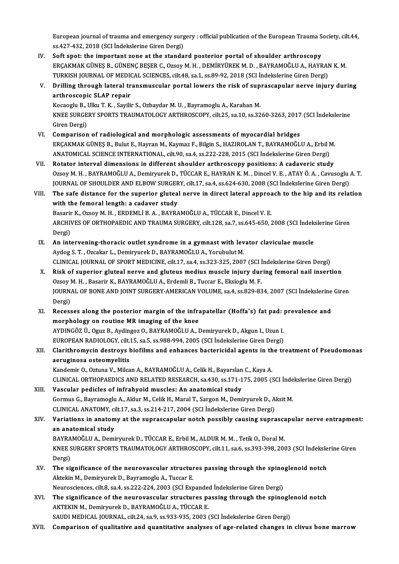European journal of trauma and emergency surgery : official publication of the European Trauma Society, cilt.44,<br>28.427.432.2018 (SCLIndekalerine Cinen Dergi) European journal of trauma and emergency surg<br>ss.427-432, 2018 (SCI İndekslerine Giren Dergi)<br>Seft anet: the important gene at the stande European journal of trauma and emergency surgery : official publication of the European Trauma S<br>ss.427-432, 2018 (SCI Indekslerine Giren Dergi)<br>IV. Soft spot: the important zone at the standard posterior portal of shoulde

- ss.427-432, 2018 (SCI İndekslerine Giren Dergi)<br>Soft spot: the important zone at the standard posterior portal of shoulder arthroscopy<br>ERÇAKMAK GÜNEŞ B., GÜNENÇ BEŞER C., Ozsoy M. H. , DEMİRYÜREK M. D. , BAYRAMOĞLU A., HAY Soft spot: the important zone at the standard posterior portal of shoulder arthroscopy<br>ERÇAKMAK GÜNEŞ B., GÜNENÇ BEŞER C., Ozsoy M. H. , DEMİRYÜREK M. D. , BAYRAMOĞLU A., HAYRAN<br>TURKISH JOURNAL OF MEDICAL SCIENCES, cilt.48 ERÇAKMAK GÜNEŞ B., GÜNENÇ BEŞER C., Ozsoy M. H. , DEMİRYÜREK M. D. , BAYRAMOĞLU A., HAYRAN K. M.<br>TURKISH JOURNAL OF MEDICAL SCIENCES, cilt.48, sa.1, ss.89-92, 2018 (SCI İndekslerine Giren Dergi)<br>V. Drilling through lat
- TURKISH JOURNAL OF MEDICAL SCIENCES, cilt.48, sa.1, ss.89-92, 2018 (SCI Indekslerine Giren Dergi)<br>Drilling through lateral transmuscular portal lowers the risk of suprascapular nerve injur<br>arthroscopic SLAP repair<br>Kocaoglu Drilling through lateral transmuscular portal lowers the risk of sup<br>arthroscopic SLAP repair<br>Kocaoglu B., Ulku T. K. , Sayilir S., Ozbaydar M. U. , Bayramoglu A., Karahan M.<br>KNEE SUDCERV SPORTS TRAUMATOLOCY ARTHROSCORY si

arthroscopic SLAP repair<br>Kocaoglu B., Ulku T. K. , Sayilir S., Ozbaydar M. U. , Bayramoglu A., Karahan M.<br>KNEE SURGERY SPORTS TRAUMATOLOGY ARTHROSCOPY, cilt.25, sa.10, ss.3260-3263, 2017 (SCI İndekslerine<br>Ciron Dergi) Kocaoglu B., I<br>KNEE SURGE<br>Giren Dergi)<br>Comnarison KNEE SURGERY SPORTS TRAUMATOLOGY ARTHROSCOPY, cilt.25, sa.10, ss.3260-3263, 2017<br>Giren Dergi)<br>VI. Comparison of radiological and morphologic assessments of myocardial bridges<br>ERGAKMAK CÜNES B. Bulut E. Hayran M. Kaymar E.

- Giren Dergi)<br>Comparison of radiological and morphologic assessments of myocardial bridges<br>ERÇAKMAK GÜNEŞ B., Bulut E., Hayran M., Kaymaz F., Bilgin S., HAZIROLAN T., BAYRAMOĞLU A., Erbil M.<br>ANATOMICAL SCIENCE INTERNATIONAL Comparison of radiological and morphologic assessments of myocardial bridges<br>ERÇAKMAK GÜNEŞ B., Bulut E., Hayran M., Kaymaz F., Bilgin S., HAZIROLAN T., BAYRAMOĞLU A., Erbil N<br>ANATOMICAL SCIENCE INTERNATIONAL, cilt.90, sa. ERÇAKMAK GÜNEŞ B., Bulut E., Hayran M., Kaymaz F., Bilgin S., HAZIROLAN T., BAYRAMOĞLU A., Erbil M.<br>ANATOMICAL SCIENCE INTERNATIONAL, cilt.90, sa.4, ss.222-228, 2015 (SCI İndekslerine Giren Dergi)<br>VII. Rotator interval
- OzsoyM.H. ,BAYRAMOĞLUA.,DemiryurekD.,TÜCCARE.,HAYRANK.M. ,DincelV.E. ,ATAYÖ.A. ,CavusogluA.T. Rotator interval dimensions in different shoulder arthroscopy positions: A cadaveric study<br>Ozsoy M. H. , BAYRAMOĞLU A., Demiryurek D., TÜCCAR E., HAYRAN K. M. , Dincel V. E. , ATAY Ö. A. , Cavusoglu .<br>JOURNAL OF SHOULDER A Ozsoy M. H., BAYRAMOĞLU A., Demiryurek D., TÜCCAR E., HAYRAN K. M., Dincel V. E., ATAY Ö. A., Cavusoglu A. T.<br>JOURNAL OF SHOULDER AND ELBOW SURGERY, cilt.17, sa.4, ss.624-630, 2008 (SCI İndekslerine Giren Dergi)<br>VIII. The
- JOURNAL OF SHOULDER AND ELBOW SURGER<br>The safe distance for the superior glutea<br>with the femoral length: a cadaver study<br>Besarin K, Orsey M, H, EPDEMLI B, A, BAYRA The safe distance for the superior gluteal nerve in direct lateral approach to the hip and its relation<br>with the femoral length: a cadaver study<br>Basarir K., Ozsoy M. H., ERDEMLİ B. A., BAYRAMOĞLU A., TÜCCAR E., Dincel V. E with the femoral length: a cadaver study<br>Basarir K., Ozsoy M. H. , ERDEMLİ B. A. , BAYRAMOĞLU A., TÜCCAR E., Dincel V. E.<br>ARCHIVES OF ORTHOPAEDIC AND TRAUMA SURGERY, cilt.128, sa.7, ss.645-650, 2008 (SCI İndekslerine Giren

Basarir<br>ARCHIV<br>Dergi) ARCHIVES OF ORTHOPAEDIC AND TRAUMA SURGERY, cilt.128, sa.7, ss.645-650, 2008 (SCI Indek<br>Dergi)<br>IX. An intervening-thoracic outlet syndrome in a gymnast with levator claviculae muscle<br>Avdeg S.T. Ozsakar L. Demirrarck D. BAV

- Dergi)<br>IX. An intervening-thoracic outlet syndrome in a gymnast with levator claviculae muscle<br>Aydog S.T., Ozcakar L., Demiryurek D., BAYRAMOĞLU A., Yorubulut M. An intervening-thoracic outlet syndrome in a gymnast with levator claviculae muscle<br>Aydog S. T. , Ozcakar L., Demiryurek D., BAYRAMOĞLU A., Yorubulut M.<br>CLINICAL JOURNAL OF SPORT MEDICINE, cilt.17, sa.4, ss.323-325, 2007 (
- X. Risk of superior gluteal nerve and gluteus medius muscle injury during femoral nail insertion CLINICAL JOURNAL OF SPORT MEDICINE, cilt.17, sa.4, ss.323-325, 2007 (SCI İ<br>Risk of superior gluteal nerve and gluteus medius muscle injury dur<br>Ozsoy M. H., Basarir K., BAYRAMOĞLU A., Erdemli B., Tuccar E., Eksioglu M. F.<br>J JOURNAL OF BONE AND JOINT SURGERY-AMERICAN VOLUME, sa.4, ss.829-834, 2007 (SCI İndekslerine Giren<br>Dergi) Ozsoy M. H., Basarir K., BAYRAMOĞLU A., Erdemli B., Tuccar E., Eksioglu M. F. JOURNAL OF BONE AND JOINT SURGERY-AMERICAN VOLUME, sa.4, ss.829-834, 2007 (SCI Indekslerine<br>Dergi)<br>XI. Recesses along the posterior margin of the infrapatellar (Hoffa's) fat pad: prevalence and<br>morphology on routine MB ima
- Dergi)<br>Recesses along the posterior margin of the infra<br>morphology on routine MR imaging of the knee<br>AYDINGÖZ Ü. Oguz B. Aydingoz O. BAYDAMOČLUA, L Recesses along the posterior margin of the infrapatellar (Hoffa's) fat pad:<br>morphology on routine MR imaging of the knee<br>AYDINGÖZ Ü., Oguz B., Aydingoz O., BAYRAMOĞLU A., Demiryurek D., Akgun I., Uzun I.<br>EUROPEAN RADIOLOCY morphology on routine MR imaging of the knee<br>AYDINGÖZ Ü., Oguz B., Aydingoz O., BAYRAMOĞLU A., Demiryurek D., Akgun I., Uzun I.<br>EUROPEAN RADIOLOGY, cilt.15, sa.5, ss.988-994, 2005 (SCI İndekslerine Giren Dergi)<br>Clarithromu

## AYDINGÖZ Ü., Oguz B., Aydingoz O., BAYRAMOĞLU A., Demiryurek D., Akgun I., Uzun I.<br>EUROPEAN RADIOLOGY, cilt.15, sa.5, ss.988-994, 2005 (SCI İndekslerine Giren Dergi)<br>XII. Clarithromycin destroys biofilms and enhances b EUROPEAN RADIOLOGY, cilt.<br>Clarithromycin destroys l<br>aeruginosa osteomyelitis<br>Kandamir O. Ottune V. Milco

Kandemir O., Oztuna V., Milcan A., BAYRAMOĞLU A., Celik H., Bayarslan C., Kaya A. CLINICALORTHOPAEDICSANDRELATEDRESEARCH, sa.430, ss.171-175,2005 (SCI İndekslerineGirenDergi)

XIII. Vascular pedicles of infrahyoid muscles: An anatomical study CLINICAL ORTHOPAEDICS AND RELATED RESEARCH, sa.430, ss.171-175, 2005 (SCI inde<br>Vascular pedicles of infrahyoid muscles: An anatomical study<br>Gormus G., Bayramoglu A., Aldur M., Celik H., Maral T., Sargon M., Demiryurek D., Vascular pedicles of infrahyoid muscles: An anatomical study<br>Gormus G., Bayramoglu A., Aldur M., Celik H., Maral T., Sargon M., Demiryurek D., A<br>CLINICAL ANATOMY, cilt.17, sa.3, ss.214-217, 2004 (SCI İndekslerine Giren Der Gormus G., Bayramoglu A., Aldur M., Celik H., Maral T., Sargon M., Demiryurek D., Aksit M.<br>CLINICAL ANATOMY, cilt.17, sa.3, ss.214-217, 2004 (SCI İndekslerine Giren Dergi)<br>XIV. Variations in anatomy at the suprascapula

## CLINICAL ANATOMY, cilt.17, sa.3, ss.214-217, 2004 (SCI Indekslerine Giren Dergi)<br>Variations in anatomy at the suprascapular notch possibly causing supra<br>an anatomical study Variations in anatomy at the suprascapular notch possibly causing suprascant anatomical study<br>an anatomical study<br>BAYRAMOĞLU A., Demiryurek D., TÜCCAR E., Erbil M., ALDUR M. M. , Tetik O., Doral M.<br>KNEE SUPCERY SPORTS TRAU

an anatomical study<br>BAYRAMOĞLU A., Demiryurek D., TÜCCAR E., Erbil M., ALDUR M. M. , Tetik O., Doral M.<br>KNEE SURGERY SPORTS TRAUMATOLOGY ARTHROSCOPY, cilt.11, sa.6, ss.393-398, 2003 (SCI İndekslerine Giren BAYRAMOĞLU A., Demiryurek D., TÜCCAR E., Erbil M., ALDUR M. M. , Tetik O., Doral M.<br>KNEE SURGERY SPORTS TRAUMATOLOGY ARTHROSCOPY, cilt.11, sa.6, ss.393-398, 200<br>Dergi) KNEE SURGERY SPORTS TRAUMATOLOGY ARTHROSCOPY, cilt.11, sa.6, ss.393-398, 2003 (SCI indeksle<br>Dergi)<br>XV. The significance of the neurovascular structures passing through the spinoglenoid notch<br>Altakin M. Deminuugh D. Baurame

- Dergi)<br>The significance of the neurovascular structur<br>Aktekin M., Demiryurek D., Bayramoglu A., Tuccar E.<br>Neurosgionees silt 8, se 4, se 222, 224, 2002 (SCL Eur The significance of the neurovascular structures passing through the spino<br>Aktekin M., Demiryurek D., Bayramoglu A., Tuccar E.<br>Neurosciences, cilt.8, sa.4, ss.222-224, 2003 (SCI Expanded İndekslerine Giren Dergi)<br>The signi Aktekin M., Demiryurek D., Bayramoglu A., Tuccar E.<br>Neurosciences, cilt.8, sa.4, ss.222-224, 2003 (SCI Expanded Indekslerine Giren Dergi)<br>XVI. The significance of the neurovascular structures passing through the spinogleno
- Neurosciences, cilt.8, sa.4, ss.222-224, 2003 (SCI Expanded The significance of the neurovascular structures pa<br>AKTEKIN M., Demiryurek D., BAYRAMOĞLU A., TÜCCAR E. The significance of the neurovascular structures passing through the spinogle<br>AKTEKIN M., Demiryurek D., BAYRAMOĞLU A., TÜCCAR E.<br>SAUDI MEDICAL JOURNAL, cilt.24, sa.9, ss.933-935, 2003 (SCI İndekslerine Giren Dergi)<br>Compon AKTEKIN M., Demiryurek D., BAYRAMOĞLU A., TÜCCAR E.<br>SAUDI MEDICAL JOURNAL, cilt.24, sa.9, ss.933-935, 2003 (SCI İndekslerine Giren Dergi)<br>XVII. Comparison of qualitative and quantitative analyses of age-related changes
-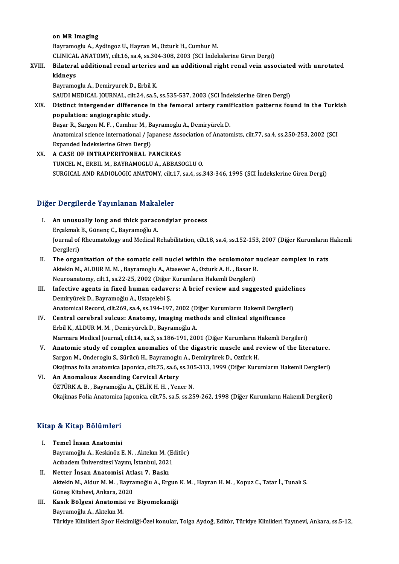### on MR Imaging

Bayramoglu A., Aydingoz U., Hayran M., Ozturk H., Cumhur M. on MR Imaging<br>Bayramoglu A., Aydingoz U., Hayran M., Ozturk H., Cumhur M.<br>CLINICAL ANATOMY, cilt.16, sa.4, ss.304-308, 2003 (SCI İndekslerine Giren Dergi)<br>Bilataral additional renal artarias and an additional right renal v Bayramoglu A., Aydingoz U., Hayran M., Ozturk H., Cumhur M.<br>CLINICAL ANATOMY, cilt.16, sa.4, ss.304-308, 2003 (SCI İndekslerine Giren Dergi)<br>XVIII. Bilateral additional renal arteries and an additional right renal vein ass

# CLINICAI<br>Bilatera<br>kidneys

Bilateral additional renal arteries<br>kidneys<br>Bayramoglu A., Demiryurek D., Erbil K.<br>SAUDI MEDICAL JOUPNAL, silt 24, sa 5.

kidneys<br>Bayramoglu A., Demiryurek D., Erbil K.<br>SAUDI MEDICAL JOURNAL, cilt.24, sa.5, ss.535-537, 2003 (SCI İndekslerine Giren Dergi)<br>Distinct intergender difference in the femeral artery remification natterns fol

Bayramoglu A., Demiryurek D., Erbil K.<br>SAUDI MEDICAL JOURNAL, cilt.24, sa.5, ss.535-537, 2003 (SCI İndekslerine Giren Dergi)<br>XIX. Distinct intergender difference in the femoral artery ramification patterns found in the SAUDI MEDICAL JOURNAL, cilt.24, sa<br>Distinct intergender difference<br>population: angiographic study.<br>Besar B. Sargon M. E., Cumbur M. B Distinct intergender difference in the femoral artery rami<br>population: angiographic study.<br>Başar R., Sargon M. F. , Cumhur M., Bayramoglu A., Demiryürek D.<br>Anatomical sciones international / Japanese Association of Anatom

population: angiographic study.<br>Başar R., Sargon M. F. , Cumhur M., Bayramoglu A., Demiryürek D.<br>Anatomical science international / Japanese Association of Anatomists, cilt.77, sa.4, ss.250-253, 2002 (SCI<br>Eynanded İndelsel Başar R., Sargon M. F. , Cumhur M., B<br>Anatomical science international / Ja<br>Expanded Indekslerine Giren Dergi)<br>A GASE OF INTRAPERITONEAL P Anatomical science international / Japanese Ass<br>Expanded Indekslerine Giren Dergi)<br>XX. A CASE OF INTRAPERITONEAL PANCREAS

Expanded Indekslerine Giren Dergi)<br>XX. **A CASE OF INTRAPERITONEAL PANCREAS**<br>TUNCEL M., ERBIL M., BAYRAMOGLU A., ABBASOGLU O. SURGICAL AND RADIOLOGIC ANATOMY, cilt.17, sa.4, ss.343-346, 1995 (SCI İndekslerine Giren Dergi)

## Diğer Dergilerde Yayınlanan Makaleler

- Iger Dergilerde Yayınlanan Makaleler<br>I. An unusually long and thick paracondylar process Experience of all minimum stands.<br>An unusually long and thick parace<br>Erçakmak B., Günenç C., Bayramoğlu A. Journal of Rheumatology and Medical Rehabilitation, cilt.18, sa.4, ss.152-153, 2007 (Diğer Kurumların Hakemli<br>Dergileri) Erçakmak B., Günenç C., Bayramoğlu A. Journal of Rheumatology and Medical Rehabilitation, cilt.18, sa.4, ss.152-153, 2007 (Diğer Kurumların<br>Dergileri)<br>II. The organization of the somatic cell nuclei within the oculomotor nuclear complex in rats<br>Altolin M. Al D
- Dergileri)<br>The organization of the somatic cell nuclei within the oculomotor n<br>Aktekin M., ALDUR M. M. , Bayramoglu A., Atasever A., Ozturk A. H. , Basar R.<br>Naureanatomy, silt 1, es 22, 25, 2002 (Dižer Kurumların Hakemli D The organization of the somatic cell nuclei within the oculomotor<br>Aktekin M., ALDUR M. M. , Bayramoglu A., Atasever A., Ozturk A. H. , Basar R<br>Neuroanatomy, cilt.1, ss.22-25, 2002 (Diğer Kurumların Hakemli Dergileri)<br>Infos Aktekin M., ALDUR M. M., Bayramoglu A., Atasever A., Ozturk A. H., Basar R.<br>Neuroanatomy, cilt.1, ss.22-25, 2002 (Diğer Kurumların Hakemli Dergileri)<br>III. Infective agents in fixed human cadavers: A brief review and sugges
- Neuroanatomy, cilt.1, ss.22-25, 2002 (Diğer Kurumların Hakemli Dergileri)<br>Infective agents in fixed human cadavers: A brief review and suggested guidel:<br>Demiryürek D., Bayramoğlu A., Ustaçelebi Ş.<br>Anatomical Record, cilt.2 Infective agents in fixed human cadavers: A brief review and suggested guideli<br>Demiryürek D., Bayramoğlu A., Ustaçelebi Ş.<br>Anatomical Record, cilt.269, sa.4, ss.194-197, 2002 (Diğer Kurumların Hakemli Dergileri)<br>Central se Demiryürek D., Bayramoğlu A., Ustaçelebi Ş.<br>Anatomical Record, cilt.269, sa.4, ss.194-197, 2002 (Diğer Kurumların Hakemli Dergile:<br>IV. Central cerebral sulcus: Anatomy, imaging methods and clinical significance
- Anatomical Record, cilt.269, sa.4, ss.194-197, 2002 (D<br>Central cerebral sulcus: Anatomy, imaging mether bil K., ALDUR M. M., Demiryürek D., Bayramoğlu A. Central cerebral sulcus: Anatomy, imaging methods and clinical significance<br>Erbil K., ALDUR M. M. , Demiryürek D., Bayramoğlu A.<br>Marmara Medical Journal, cilt.14, sa.3, ss.186-191, 2001 (Diğer Kurumların Hakemli Dergileri)
- Erbil K., ALDUR M. M. , Demiryürek D., Bayramoğlu A.<br>Marmara Medical Journal, cilt.14, sa.3, ss.186-191, 2001 (Diğer Kurumların Hakemli Dergileri)<br>V. Anatomic study of complex anomalies of the digastric muscle and revi Marmara Medical Journal, cilt.14, sa.3, ss.186-191, 2001 (Diğer Kurumların F<br>Anatomic study of complex anomalies of the digastric muscle and respon M., Onderoglu S., Sürücü H., Bayramoglu A., Demiryürek D., Oztürk H.<br>Olmüm Anatomic study of complex anomalies of the digastric muscle and review of the literature.<br>Sargon M., Onderoglu S., Sürücü H., Bayramoglu A., Demiryürek D., Oztürk H.<br>Okajimas folia anatomica Japonica, cilt.75, sa.6, ss.305
- VI. An Anomalous Ascending Cervical Artery<br>ÖZTÜRK A.B., Bayramoğlu A., ÇELİK H.H., Yener N. Okajimas folia anatomica Japonica, cilt.75, sa.6, ss.30!<br>An Anomalous Ascending Cervical Artery<br>ÖZTÜRK A. B. , Bayramoğlu A., ÇELİK H. H. , Yener N.<br>Okajimas Folia Anatomica Japonica silt.75, sa.5, ss.25 Okajimas Folia Anatomica Japonica, cilt.75, sa.5, ss.259-262, 1998 (Diğer Kurumların Hakemli Dergileri)

# okajimas rolla Anatomica<br>Kitap & Kitap Bölümleri

- **Itap & Kitap Bölümleri<br>I. Temel İnsan Anatomisi**<br>Boumamağlu A. Kaskinöz E p & Kreep Bordmiori<br>Temel İnsan Anatomisi<br>Bayramoğlu A., Keskinöz E. N. , Aktekın M. (Editör)<br>Ashadom Üniversitesi Yaum, İstanbul 2021 Temel İnsan Anatomisi<br>Bayramoğlu A., Keskinöz E. N. , Aktekın M. (Eq<br>Acıbadem Üniversitesi Yayını, İstanbul, 2021<br>Netter İnsan Anatomisi Atlası 7. Baskı Bayramoğlu A., Keskinöz E. N. , Aktekin M. (<br>Acibadem Üniversitesi Yayını, İstanbul, 202<br>II. Netter İnsan Anatomisi Atlası 7. Baskı
- Acıbadem Üniversitesi Yayını, İstanbul, 2021<br>Netter İnsan Anatomisi Atlası 7. Baskı<br>Aktekin M., Aldur M. M. , Bayramoğlu A., Ergun K. M. , Hayran H. M. , Kopuz C., Tatar İ., Tunalı S.<br>Güneş Kitabevi, Ankara, 2020 Netter İnsan Anatomisi Atl<br>Aktekin M., Aldur M. M. , Bayra<br>Güneş Kitabevi, Ankara, 2020<br>Kasık Bölzesi Anatomisi ve Aktekin M., Aldur M. M. , Bayramoğlu A., Ergun<br>Güneş Kitabevi, Ankara, 2020<br>III. Kasık Bölgesi Anatomisi ve Biyomekaniği<br>Bayramoğlu A. Altalun M
- Güneş Kitabevi, Ankara, 20<br>**Kasık Bölgesi Anatomis**<br>Bayramoğlu A., Aktekın M.<br>Türkiye Klinikleri Sper Hel Bayramoğlu A., Aktekın M.<br>Türkiye Klinikleri Spor Hekimliği-Özel konular, Tolga Aydoğ, Editör, Türkiye Klinikleri Yayınevi, Ankara, ss.5-12,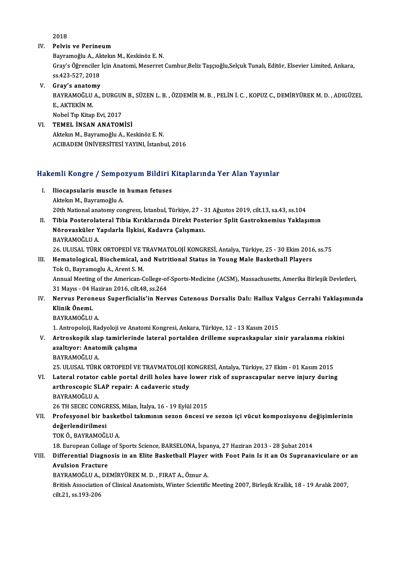2018

### IV. Pelvis ve Perineum

Bayramoğlu A., Aktekın M., Keskinöz E. N. Pelvis ve Perineum<br>Bayramoğlu A., Aktekın M., Keskinöz E. N.<br>Gray's Öğrenciler İçin Anatomi, Meserret Cumhur,Beliz Taşçıoğlu,Selçuk Tunalı, Editör, Elsevier Limited, Ankara, Bayramoğlu A., Ak<br>Gray's Öğrenciler<br>ss.423-527, 2018<br>Cray's anatamy ss 423-527, 2018<br>V. Gray's anatomy

SS.423-527, 2018<br>Gray's anatomy<br>BAYRAMOĞLU A., DURGUN B., SÜZEN L. B. , ÖZDEMİR M. B. , PELİN İ. C. , KOPUZ C., DEMİRYÜREK M. D. , ADIGÜZEL<br>F. AKTEKİN M Gray's anaton<br>BAYRAMOĞLU<br>E., AKTEKİN M.<br>Nobel Tın Kitan BAYRAMOĞLU A., DURGUI<br>E., AKTEKİN M.<br>Nobel Tıp Kitap Evi, 2017<br>TEMEL, İNSAN ANATOM E., AKTEKİN M.<br>Nobel Tıp Kitap Evi, 2017<br>VI. **TEMEL İNSAN ANATOMİSİ** 

AktekınM.,BayramoğluA.,KeskinözE.N. ACIBADEMÜNİVERSİTESİYAYINI, İstanbul,2016

# ACIBADEM UNIVERSITESI YAYINI, Istanbul, 2016<br>Hakemli Kongre / Sempozyum Bildiri Kitaplarında Yer Alan Yayınlar

- akemli Kongre / Sempozyum Bildiri I.<br>I. Iliocapsularis muscle in human fetuses I. Iliocapsularis muscle in human fetuses<br>Aktekın M., Bayramoğlu A. 20th National anatomy congress, İstanbul, Türkiye, 27 - 31 Ağustos 2019, cilt.13, sa.43, ss.104
- II. Tibia Posterolateral Tibia Kırıklarında Direkt Posterior Split Gastroknemius Yaklaşımın 20th National anatomy congress, İstanbul, Türkiye, 27 - 3<br>Tibia Posterolateral Tibia Kırıklarında Direkt Post<br>Nörovasküler Yapılarla İlşkisi, Kadavra Çalışması.<br>RAYRAMOČLUA Tibia Posterola<br>Nörovasküler Y<br>BAYRAMOĞLU A.<br>26 ULUSAL TÜRK Nörovasküler Yapılarla İlşkisi, Kadavra Çalışması.<br>BAYRAMOĞLU A.<br>26. ULUSAL TÜRK ORTOPEDİ VE TRAVMATOLOJİ KONGRESİ, Antalya, Türkiye, 25 - 30 Ekim 2016, ss.75<br>Hamatologisal, Biosbomisal, and Nutritional Status in Young Mal BAYRAMOĞLU A.<br>26. ULUSAL TÜRK ORTOPEDİ VE TRAVMATOLOJİ KONGRESİ, Antalya, Türkiye, 25 - 30 Ekim 2016<br>III. Hematological, Biochemical, and Nutritional Status in Young Male Basketball Players<br>Tek O. Bayramoslu A. Arent S. M

# 26. ULUSAL TÜRK ORTOPEDİ VE T<br>Hematological, Biochemical, al<br>Tok O., Bayramoglu A., Arent S. M.<br>Annual Meeting of the American C

Hematological, Biochemical, and Nutritional Status in Young Male Basketball Players<br>Tok O., Bayramoglu A., Arent S. M.<br>Annual Meeting of the American-College-of-Sports-Medicine (ACSM), Massachusetts, Amerika Birleşik Devle Tok O., Bayramoglu A., Arent S. M.<br>Annual Meeting of the American-College-of<br>31 Mayıs - 04 Haziran 2016, cilt.48, ss.264<br>Noruus Bereneus Sunorficialis'in Noru Annual Meeting of the American-College-of-Sports-Medicine (ACSM), Massachusetts, Amerika Birleşik Devletleri,<br>31 Mayıs - 04 Haziran 2016, cilt.48, ss.264<br>IV. Nervus Peroneus Superficialis'in Nervus Cutenous Dorsalis Dalı:

31 Mayıs - 04 Haziran 2016, cilt.48, ss.264<br>Nervus Peroneus Superficialis'in Ner<br>Klinik Önemi.<br>BAYRAMOĞLU A. IV. Nervus Peroneus Superficialis'in Nervus Cutenous Dorsalis Dalı: Hallux Valgus Cerrahi Yaklasımında Klinik Önemi.<br>BAYRAMOĞLU A.<br>1. Antropoloji, Radyoloji ve Anatomi Kongresi, Ankara, Türkiye, 12 - 13 Kasım 2015<br>Antroskonik slan taminlarında lataral nartaldan drillama sunnaskanular si:

BAYRAMOĞLU A.<br>1. Antropoloji, Radyoloji ve Anatomi Kongresi, Ankara, Türkiye, 12 - 13 Kasım 2015<br>1. Artroskopik slap tamirlerinde lateral portalden drilleme supraskapular sinir yaralanma riskini<br>1. Artroskopik slap tamirle 1. Antropoloji, Radyoloji ve Ana<br>Artroskopik slap tamirlerino<br>azaltıyor: Anatomik çalışma<br>BAYPAMOČLU A Artroskopik sla<br>azaltıyor: Anatc<br>BAYRAMOĞLU A.<br>25 ULUSAL TÜRK azaltıyor: Anatomik çalışma<br>BAYRAMOĞLU A.<br>25. ULUSAL TÜRK ORTOPEDİ VE TRAVMATOLOJİ KONGRESİ, Antalya, Türkiye, 27 Ekim - 01 Kasım 2015

BAYRAMOĞLU A.<br>25. ULUSAL TÜRK ORTOPEDİ VE TRAVMATOLOJİ KONGRESİ, Antalya, Türkiye, 27 Ekim - 01 Kasım 2015<br>21. Lateral rotator cable portal drill holes have lower risk of suprascapular nerve injury during<br>21. Arthrossonis 25. ULUSAL TÜRK ORTOPEDİ VE TRAVMATOLOJİ K<br>Lateral rotator cable portal drill holes have l<br>arthroscopic SLAP repair: A cadaveric study<br>RAVRAMOČLU A Lateral rotator<br>arthroscopic SL<br>BAYRAMOĞLU A.<br>26 TH SECEC CON arthroscopic SLAP repair: A cadaveric study<br>BAYRAMOĞLU A.<br>26 TH SECEC CONGRESS, Milan, İtalya, 16 - 19 Eylül 2015<br>Profesyonal bir baskatbal takımının sezen önessi u

## BAYRAMOĞLU A.<br>26 TH SECEC CONGRESS, Milan, İtalya, 16 - 19 Eylül 2015<br>VII. Profesyonel bir basketbol takımının sezon öncesi ve sezon içi vücut kompozisyonu değişimlerinin<br>değerlendirilmesi 26 TH SECEC CONGE<br>Profesyonel bir ba<br>değerlendirilmesi<br>TOKÖ RAVRAMOČE Profesyonel bir baske<br>değerlendirilmesi<br>TOK Ö., BAYRAMOĞLU A.<br>18. Euronean Callage of S

değerlendirilmesi<br>18. European Collage of Sports Science, BARSELONA, İspanya, 27 Haziran 2013 - 28 Şubat 2014<br>18. European Collage of Sports Science, BARSELONA, İspanya, 27 Haziran 2013 - 28 Şubat 2014

## TOK Ö., BAYRAMOĞLU A.<br>18. European Collage of Sports Science, BARSELONA, İspanya, 27 Haziran 2013 - 28 Şubat 2014<br>19. VIII. Differential Diagnosis in an Elite Basketball Player with Foot Pain Is it an Os Supranaviculare or 18. European Collage<br>Differential Diagno<br>Avulsion Fracture<br>RAVRAMOČLUA. DE Differential Diagnosis in an Elite Basketball Player<br>Avulsion Fracture<br>BAYRAMOĞLU A., DEMİRYÜREK M. D. , FIRAT A., Öznur A.<br>Pritish Assesistion of Clinisal Anatomista Winter Scientific

Avulsion Fracture<br>BAYRAMOĞLU A., DEMİRYÜREK M. D. , FIRAT A., Öznur A.<br>British Association of Clinical Anatomists, Winter Scientific Meeting 2007, Birleşik Krallık, 18 - 19 Aralık 2007, BAYRAMOĞLU A.,<br>British Association<br>cilt.21, ss.193-206